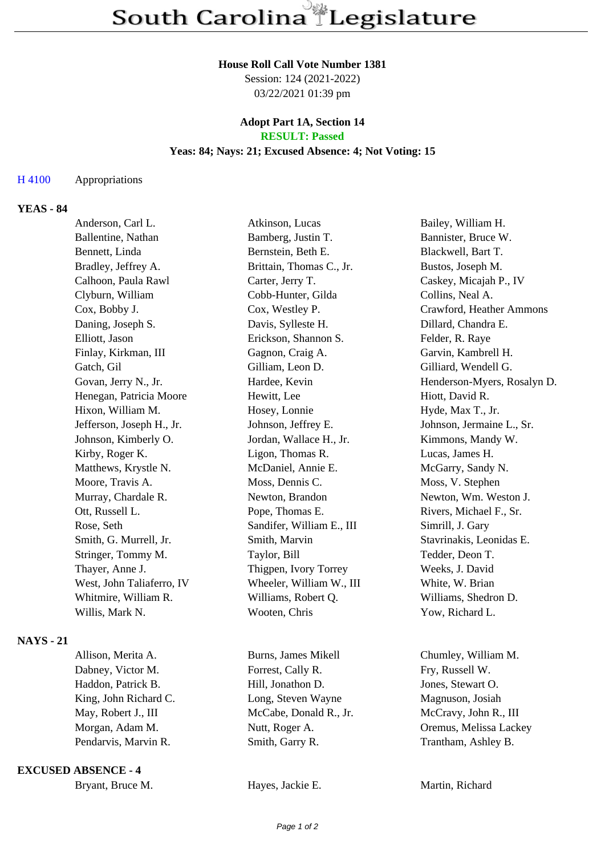#### **House Roll Call Vote Number 1381**

Session: 124 (2021-2022) 03/22/2021 01:39 pm

### **Adopt Part 1A, Section 14 RESULT: Passed**

### **Yeas: 84; Nays: 21; Excused Absence: 4; Not Voting: 15**

### H 4100 Appropriations

# **YEAS - 84**

|                  | Anderson, Carl L.         | Atkinson, Lucas           | Bailey, William H.          |
|------------------|---------------------------|---------------------------|-----------------------------|
|                  | Ballentine, Nathan        | Bamberg, Justin T.        | Bannister, Bruce W.         |
|                  | Bennett, Linda            | Bernstein, Beth E.        | Blackwell, Bart T.          |
|                  | Bradley, Jeffrey A.       | Brittain, Thomas C., Jr.  | Bustos, Joseph M.           |
|                  | Calhoon, Paula Rawl       | Carter, Jerry T.          | Caskey, Micajah P., IV      |
|                  | Clyburn, William          | Cobb-Hunter, Gilda        | Collins, Neal A.            |
|                  | Cox, Bobby J.             | Cox, Westley P.           | Crawford, Heather Ammons    |
|                  | Daning, Joseph S.         | Davis, Sylleste H.        | Dillard, Chandra E.         |
|                  | Elliott, Jason            | Erickson, Shannon S.      | Felder, R. Raye             |
|                  | Finlay, Kirkman, III      | Gagnon, Craig A.          | Garvin, Kambrell H.         |
|                  | Gatch, Gil                | Gilliam, Leon D.          | Gilliard, Wendell G.        |
|                  | Govan, Jerry N., Jr.      | Hardee, Kevin             | Henderson-Myers, Rosalyn D. |
|                  | Henegan, Patricia Moore   | Hewitt, Lee               | Hiott, David R.             |
|                  | Hixon, William M.         | Hosey, Lonnie             | Hyde, Max T., Jr.           |
|                  | Jefferson, Joseph H., Jr. | Johnson, Jeffrey E.       | Johnson, Jermaine L., Sr.   |
|                  | Johnson, Kimberly O.      | Jordan, Wallace H., Jr.   | Kimmons, Mandy W.           |
|                  | Kirby, Roger K.           | Ligon, Thomas R.          | Lucas, James H.             |
|                  | Matthews, Krystle N.      | McDaniel, Annie E.        | McGarry, Sandy N.           |
|                  | Moore, Travis A.          | Moss, Dennis C.           | Moss, V. Stephen            |
|                  | Murray, Chardale R.       | Newton, Brandon           | Newton, Wm. Weston J.       |
|                  | Ott, Russell L.           | Pope, Thomas E.           | Rivers, Michael F., Sr.     |
|                  | Rose, Seth                | Sandifer, William E., III | Simrill, J. Gary            |
|                  | Smith, G. Murrell, Jr.    | Smith, Marvin             | Stavrinakis, Leonidas E.    |
|                  | Stringer, Tommy M.        | Taylor, Bill              | Tedder, Deon T.             |
|                  | Thayer, Anne J.           | Thigpen, Ivory Torrey     | Weeks, J. David             |
|                  | West, John Taliaferro, IV | Wheeler, William W., III  | White, W. Brian             |
|                  | Whitmire, William R.      | Williams, Robert Q.       | Williams, Shedron D.        |
|                  | Willis, Mark N.           | Wooten, Chris             | Yow, Richard L.             |
| <b>NAYS</b> - 21 |                           |                           |                             |
|                  | Allison, Merita A.        | Burns, James Mikell       | Chumley, William M.         |
|                  | Dabney, Victor M.         | Forrest, Cally R.         | Fry, Russell W.             |

### **EXCUSED ABSENCE - 4**

Haddon, Patrick B. Hill, Jonathon D. Jones, Stewart O. King, John Richard C. Long, Steven Wayne Magnuson, Josiah May, Robert J., III McCabe, Donald R., Jr. McCravy, John R., III Morgan, Adam M. Nutt, Roger A. Chamber A. Chemus, Melissa Lackey Pendarvis, Marvin R. Smith, Garry R. Trantham, Ashley B.

Hayes, Jackie E. Martin, Richard